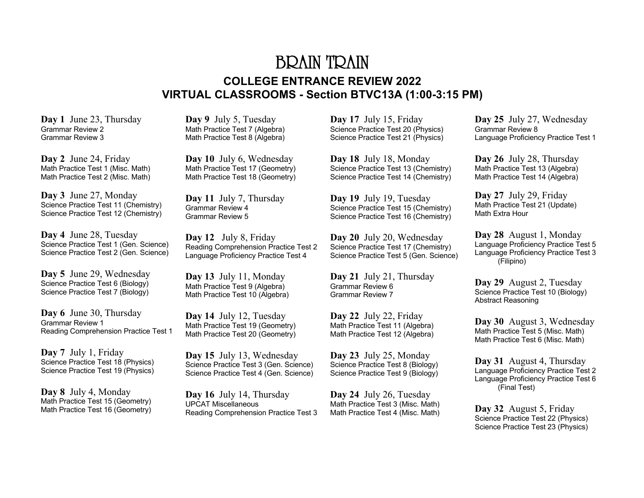# BRAIN TRAIN **COLLEGE ENTRANCE REVIEW 2022 VIRTUAL CLASSROOMS - Section BTVC13A (1:00-3:15 PM)**

**Day 1** June 23, Thursday Grammar Review 2 Grammar Review 3

**Day 2** June 24, Friday Math Practice Test 1 (Misc. Math) Math Practice Test 2 (Misc. Math)

**Day 3** June 27, Monday Science Practice Test 11 (Chemistry) Science Practice Test 12 (Chemistry)

**Day 4** June 28, Tuesday Science Practice Test 1 (Gen. Science) Science Practice Test 2 (Gen. Science)

**Day 5** June 29, Wednesday Science Practice Test 6 (Biology) Science Practice Test 7 (Biology)

**Day 6** June 30, Thursday Grammar Review 1 Reading Comprehension Practice Test 1

**Day 7** July 1, Friday Science Practice Test 18 (Physics) Science Practice Test 19 (Physics)

**Day 8** July 4, Monday Math Practice Test 15 (Geometry) Math Practice Test 16 (Geometry) **Day 9** July 5, Tuesday Math Practice Test 7 (Algebra) Math Practice Test 8 (Algebra)

**Day 10** July 6, Wednesday Math Practice Test 17 (Geometry) Math Practice Test 18 (Geometry)

**Day 11** July 7, Thursday Grammar Review 4 Grammar Review 5

**Day 12** July 8, Friday Reading Comprehension Practice Test 2 Language Proficiency Practice Test 4

**Day 13** July 11, Monday Math Practice Test 9 (Algebra) Math Practice Test 10 (Algebra)

**Day 14** July 12, Tuesday Math Practice Test 19 (Geometry) Math Practice Test 20 (Geometry)

**Day 15** July 13, Wednesday Science Practice Test 3 (Gen. Science) Science Practice Test 4 (Gen. Science)

**Day 16** July 14, Thursday UPCAT Miscellaneous Reading Comprehension Practice Test 3 **Day 17** July 15, Friday Science Practice Test 20 (Physics) Science Practice Test 21 (Physics)

**Day 18** July 18, Monday Science Practice Test 13 (Chemistry) Science Practice Test 14 (Chemistry)

**Day 19** July 19, Tuesday Science Practice Test 15 (Chemistry) Science Practice Test 16 (Chemistry)

**Day 20** July 20, Wednesday Science Practice Test 17 (Chemistry) Science Practice Test 5 (Gen. Science)

**Day 21** July 21, Thursday Grammar Review 6 Grammar Review 7

**Day 22** July 22, Friday Math Practice Test 11 (Algebra) Math Practice Test 12 (Algebra)

**Day 23** July 25, Monday Science Practice Test 8 (Biology) Science Practice Test 9 (Biology)

**Day 24** July 26, Tuesday Math Practice Test 3 (Misc. Math) Math Practice Test 4 (Misc. Math) **Day 25** July 27, Wednesday Grammar Review 8 Language Proficiency Practice Test 1

**Day 26** July 28, Thursday Math Practice Test 13 (Algebra) Math Practice Test 14 (Algebra)

**Day 27** July 29, Friday Math Practice Test 21 (Update) Math Extra Hour

**Day 28** August 1, Monday Language Proficiency Practice Test 5 Language Proficiency Practice Test 3 (Filipino)

**Day 29** August 2, Tuesday Science Practice Test 10 (Biology) Abstract Reasoning

**Day 30** August 3, Wednesday Math Practice Test 5 (Misc. Math) Math Practice Test 6 (Misc. Math)

**Day 31** August 4, Thursday Language Proficiency Practice Test 2 Language Proficiency Practice Test 6 (Final Test)

**Day 32** August 5, Friday Science Practice Test 22 (Physics) Science Practice Test 23 (Physics)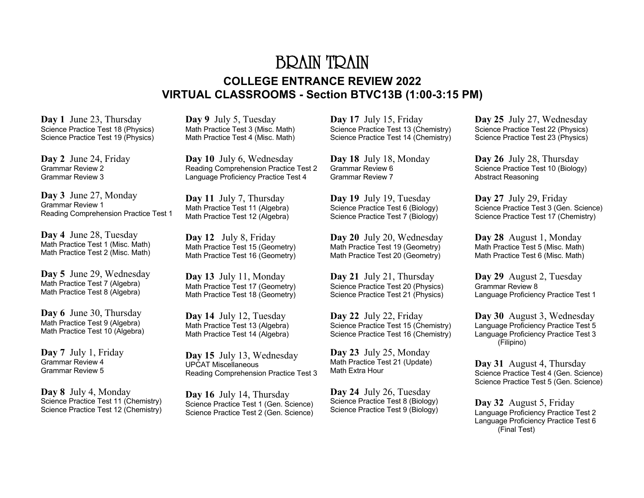# BRAIN TRAIN **COLLEGE ENTRANCE REVIEW 2022 VIRTUAL CLASSROOMS - Section BTVC13B (1:00-3:15 PM)**

**Day 1** June 23, Thursday Science Practice Test 18 (Physics) Science Practice Test 19 (Physics)

**Day 2** June 24, Friday Grammar Review 2 Grammar Review 3

**Day 3** June 27, Monday Grammar Review 1 Reading Comprehension Practice Test 1

**Day 4** June 28, Tuesday Math Practice Test 1 (Misc. Math) Math Practice Test 2 (Misc. Math)

**Day 5** June 29, Wednesday Math Practice Test 7 (Algebra) Math Practice Test 8 (Algebra)

**Day 6** June 30, Thursday Math Practice Test 9 (Algebra) Math Practice Test 10 (Algebra)

**Day 7** July 1, Friday Grammar Review 4 Grammar Review 5

**Day 8** July 4, Monday Science Practice Test 11 (Chemistry) Science Practice Test 12 (Chemistry) **Day 9** July 5, Tuesday Math Practice Test 3 (Misc. Math) Math Practice Test 4 (Misc. Math)

**Day 10** July 6, Wednesday Reading Comprehension Practice Test 2 Language Proficiency Practice Test 4

**Day 11** July 7, Thursday Math Practice Test 11 (Algebra) Math Practice Test 12 (Algebra)

**Day 12** July 8, Friday Math Practice Test 15 (Geometry) Math Practice Test 16 (Geometry)

**Day 13** July 11, Monday Math Practice Test 17 (Geometry) Math Practice Test 18 (Geometry)

**Day 14** July 12, Tuesday Math Practice Test 13 (Algebra) Math Practice Test 14 (Algebra)

**Day 15** July 13, Wednesday UPCAT Miscellaneous Reading Comprehension Practice Test 3

**Day 16** July 14, Thursday Science Practice Test 1 (Gen. Science) Science Practice Test 2 (Gen. Science) **Day 17** July 15, Friday Science Practice Test 13 (Chemistry) Science Practice Test 14 (Chemistry)

**Day 18** July 18, Monday Grammar Review 6 Grammar Review 7

**Day 19** July 19, Tuesday Science Practice Test 6 (Biology) Science Practice Test 7 (Biology)

**Day 20** July 20, Wednesday Math Practice Test 19 (Geometry) Math Practice Test 20 (Geometry)

**Day 21** July 21, Thursday Science Practice Test 20 (Physics) Science Practice Test 21 (Physics)

**Day 22** July 22, Friday Science Practice Test 15 (Chemistry) Science Practice Test 16 (Chemistry)

**Day 23** July 25, Monday Math Practice Test 21 (Update) Math Extra Hour

**Day 24** July 26, Tuesday Science Practice Test 8 (Biology) Science Practice Test 9 (Biology) **Day 25** July 27, Wednesday Science Practice Test 22 (Physics) Science Practice Test 23 (Physics)

**Day 26** July 28, Thursday Science Practice Test 10 (Biology) Abstract Reasoning

**Day 27** July 29, Friday Science Practice Test 3 (Gen. Science) Science Practice Test 17 (Chemistry)

**Day 28** August 1, Monday Math Practice Test 5 (Misc. Math) Math Practice Test 6 (Misc. Math)

**Day 29** August 2, Tuesday Grammar Review 8 Language Proficiency Practice Test 1

**Day 30** August 3, Wednesday Language Proficiency Practice Test 5 Language Proficiency Practice Test 3 (Filipino)

**Day 31** August 4, Thursday Science Practice Test 4 (Gen. Science) Science Practice Test 5 (Gen. Science)

**Day 32** August 5, Friday Language Proficiency Practice Test 2 Language Proficiency Practice Test 6 (Final Test)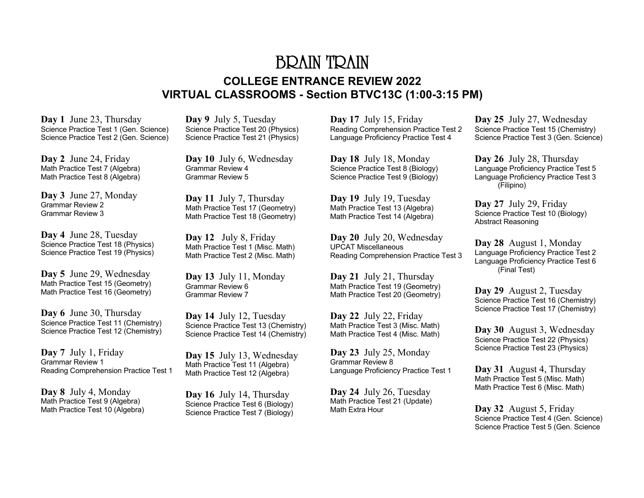# BRAIN TRAIN **COLLEGE ENTRANCE REVIEW 2022 VIRTUAL CLASSROOMS - Section BTVC13C (1:00-3:15 PM)**

**Day 1** June 23, Thursday Science Practice Test 1 (Gen. Science) Science Practice Test 2 (Gen. Science)

**Day 2** June 24, Friday Math Practice Test 7 (Algebra) Math Practice Test 8 (Algebra)

**Day 3** June 27, Monday Grammar Review 2 Grammar Review 3

**Day 4** June 28, Tuesday Science Practice Test 18 (Physics) Science Practice Test 19 (Physics)

**Day 5** June 29, Wednesday Math Practice Test 15 (Geometry) Math Practice Test 16 (Geometry)

**Day 6** June 30, Thursday Science Practice Test 11 (Chemistry) Science Practice Test 12 (Chemistry)

**Day 7** July 1, Friday Grammar Review 1 Reading Comprehension Practice Test 1

**Day 8** July 4, Monday Math Practice Test 9 (Algebra) Math Practice Test 10 (Algebra)

**Day 9** July 5, Tuesday Science Practice Test 20 (Physics) Science Practice Test 21 (Physics)

**Day 10** July 6, Wednesday Grammar Review 4 Grammar Review 5

**Day 11** July 7, Thursday Math Practice Test 17 (Geometry) Math Practice Test 18 (Geometry)

**Day 12** July 8, Friday Math Practice Test 1 (Misc. Math) Math Practice Test 2 (Misc. Math)

**Day 13** July 11, Monday Grammar Review 6 Grammar Review 7

**Day 14** July 12, Tuesday Science Practice Test 13 (Chemistry) Science Practice Test 14 (Chemistry)

**Day 15** July 13, Wednesday Math Practice Test 11 (Algebra) Math Practice Test 12 (Algebra)

**Day 16** July 14, Thursday Science Practice Test 6 (Biology) Science Practice Test 7 (Biology)

**Day 17** July 15, Friday Reading Comprehension Practice Test 2 Language Proficiency Practice Test 4

**Day 18** July 18, Monday Science Practice Test 8 (Biology) Science Practice Test 9 (Biology)

**Day 19** July 19, Tuesday Math Practice Test 13 (Algebra) Math Practice Test 14 (Algebra)

**Day 20** July 20, Wednesday UPCAT Miscellaneous Reading Comprehension Practice Test 3

**Day 21** July 21, Thursday Math Practice Test 19 (Geometry) Math Practice Test 20 (Geometry)

**Day 22** July 22, Friday Math Practice Test 3 (Misc. Math) Math Practice Test 4 (Misc. Math)

**Day 23** July 25, Monday Grammar Review 8 Language Proficiency Practice Test 1

**Day 24** July 26, Tuesday Math Practice Test 21 (Update) Math Extra Hour

**Day 25** July 27, Wednesday Science Practice Test 15 (Chemistry) Science Practice Test 3 (Gen. Science)

**Day 26** July 28, Thursday Language Proficiency Practice Test 5 Language Proficiency Practice Test 3 (Filipino)

**Day 27** July 29, Friday Science Practice Test 10 (Biology) Abstract Reasoning

**Day 28** August 1, Monday Language Proficiency Practice Test 2 Language Proficiency Practice Test 6 (Final Test)

**Day 29** August 2, Tuesday Science Practice Test 16 (Chemistry) Science Practice Test 17 (Chemistry)

**Day 30** August 3, Wednesday Science Practice Test 22 (Physics) Science Practice Test 23 (Physics)

**Day 31** August 4, Thursday Math Practice Test 5 (Misc. Math) Math Practice Test 6 (Misc. Math)

**Day 32** August 5, Friday Science Practice Test 4 (Gen. Science) Science Practice Test 5 (Gen. Science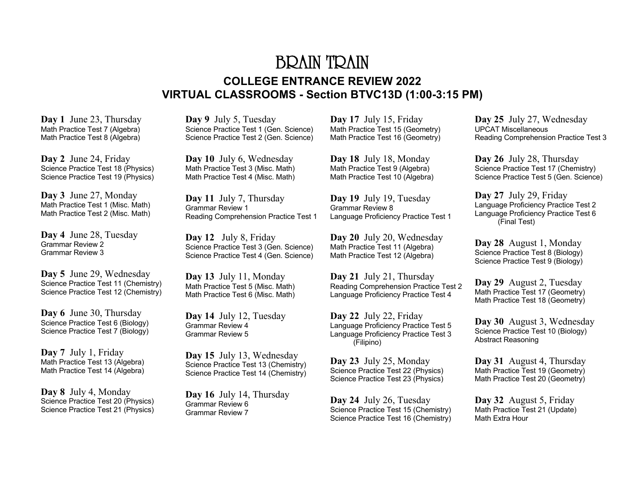# BRAIN TRAIN **COLLEGE ENTRANCE REVIEW 2022 VIRTUAL CLASSROOMS - Section BTVC13D (1:00-3:15 PM)**

**Day 1** June 23, Thursday Math Practice Test 7 (Algebra) Math Practice Test 8 (Algebra)

**Day 2** June 24, Friday Science Practice Test 18 (Physics) Science Practice Test 19 (Physics)

**Day 3** June 27, Monday Math Practice Test 1 (Misc. Math) Math Practice Test 2 (Misc. Math)

**Day 4** June 28, Tuesday Grammar Review 2 Grammar Review 3

**Day 5** June 29, Wednesday Science Practice Test 11 (Chemistry) Science Practice Test 12 (Chemistry)

**Day 6** June 30, Thursday Science Practice Test 6 (Biology) Science Practice Test 7 (Biology)

**Day 7** July 1, Friday Math Practice Test 13 (Algebra) Math Practice Test 14 (Algebra)

**Day 8** July 4, Monday Science Practice Test 20 (Physics) Science Practice Test 21 (Physics) **Day 9** July 5, Tuesday Science Practice Test 1 (Gen. Science) Science Practice Test 2 (Gen. Science)

**Day 10** July 6, Wednesday Math Practice Test 3 (Misc. Math) Math Practice Test 4 (Misc. Math)

**Day 11** July 7, Thursday Grammar Review 1 Reading Comprehension Practice Test 1

**Day 12** July 8, Friday Science Practice Test 3 (Gen. Science) Science Practice Test 4 (Gen. Science)

**Day 13** July 11, Monday Math Practice Test 5 (Misc. Math) Math Practice Test 6 (Misc. Math)

**Day 14** July 12, Tuesday Grammar Review 4 Grammar Review 5

**Day 15** July 13, Wednesday Science Practice Test 13 (Chemistry) Science Practice Test 14 (Chemistry)

**Day 16** July 14, Thursday Grammar Review 6 Grammar Review 7

**Day 17** July 15, Friday Math Practice Test 15 (Geometry) Math Practice Test 16 (Geometry)

**Day 18** July 18, Monday Math Practice Test 9 (Algebra) Math Practice Test 10 (Algebra)

**Day 19** July 19, Tuesday Grammar Review 8 Language Proficiency Practice Test 1

**Day 20** July 20, Wednesday Math Practice Test 11 (Algebra) Math Practice Test 12 (Algebra)

**Day 21** July 21, Thursday Reading Comprehension Practice Test 2 Language Proficiency Practice Test 4

**Day 22** July 22, Friday Language Proficiency Practice Test 5 Language Proficiency Practice Test 3 (Filipino)

**Day 23** July 25, Monday Science Practice Test 22 (Physics) Science Practice Test 23 (Physics)

**Day 24** July 26, Tuesday Science Practice Test 15 (Chemistry) Science Practice Test 16 (Chemistry) **Day 25** July 27, Wednesday UPCAT Miscellaneous Reading Comprehension Practice Test 3

**Day 26** July 28, Thursday Science Practice Test 17 (Chemistry) Science Practice Test 5 (Gen. Science)

**Day 27** July 29, Friday Language Proficiency Practice Test 2 Language Proficiency Practice Test 6 (Final Test)

**Day 28** August 1, Monday Science Practice Test 8 (Biology) Science Practice Test 9 (Biology)

**Day 29** August 2, Tuesday Math Practice Test 17 (Geometry) Math Practice Test 18 (Geometry)

**Day 30** August 3, Wednesday Science Practice Test 10 (Biology) Abstract Reasoning

**Day 31** August 4, Thursday Math Practice Test 19 (Geometry) Math Practice Test 20 (Geometry)

**Day 32** August 5, Friday Math Practice Test 21 (Update) Math Extra Hour